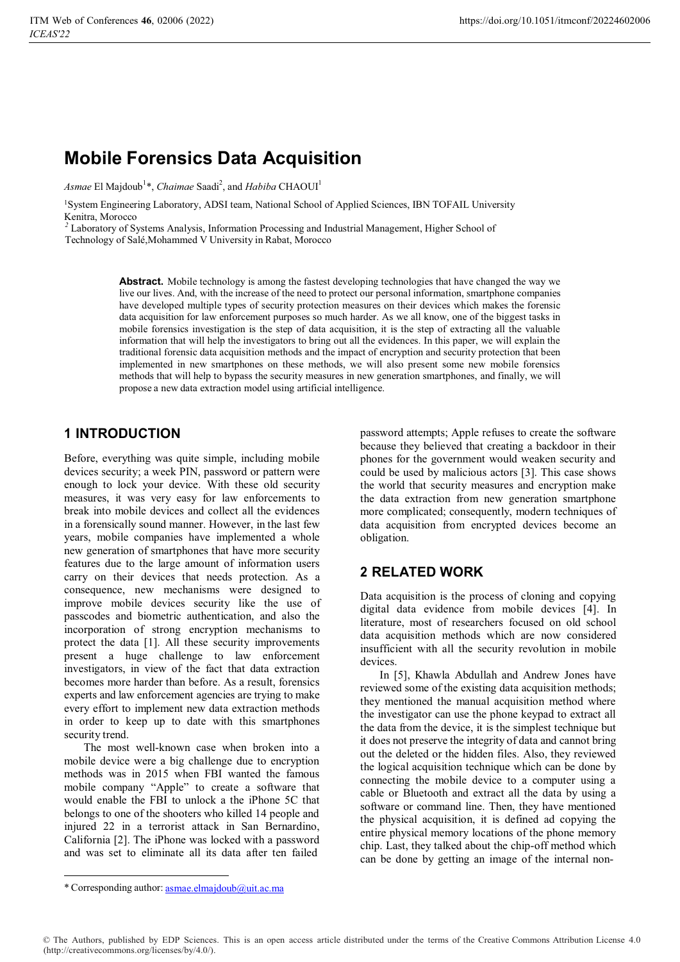# **Mobile Forensics Data Acquisition**

*Asmae* El Majdoub<sup>1</sup>\*, *Chaimae* Saadi<sup>2</sup>, and *Habiba* CHAOUI<sup>1</sup>

1System Engineering Laboratory, ADSI team, National School of Applied Sciences, IBN TOFAIL University Kenitra, Morocco

*<sup>2</sup>* Laboratory of Systems Analysis, Information Processing and Industrial Management, Higher School of Technology of Salé,Mohammed V University in Rabat, Morocco

> **Abstract.** Mobile technology is among the fastest developing technologies that have changed the way we live our lives. And, with the increase of the need to protect our personal information, smartphone companies have developed multiple types of security protection measures on their devices which makes the forensic data acquisition for law enforcement purposes so much harder. As we all know, one of the biggest tasks in mobile forensics investigation is the step of data acquisition, it is the step of extracting all the valuable information that will help the investigators to bring out all the evidences. In this paper, we will explain the traditional forensic data acquisition methods and the impact of encryption and security protection that been implemented in new smartphones on these methods, we will also present some new mobile forensics methods that will help to bypass the security measures in new generation smartphones, and finally, we will propose a new data extraction model using artificial intelligence.

### **1 INTRODUCTION**

Before, everything was quite simple, including mobile devices security; a week PIN, password or pattern were enough to lock your device. With these old security measures, it was very easy for law enforcements to break into mobile devices and collect all the evidences in a forensically sound manner. However, in the last few years, mobile companies have implemented a whole new generation of smartphones that have more security features due to the large amount of information users carry on their devices that needs protection. As a consequence, new mechanisms were designed to improve mobile devices security like the use of passcodes and biometric authentication, and also the incorporation of strong encryption mechanisms to protect the data [1]. All these security improvements present a huge challenge to law enforcement investigators, in view of the fact that data extraction becomes more harder than before. As a result, forensics experts and law enforcement agencies are trying to make every effort to implement new data extraction methods in order to keep up to date with this smartphones security trend.

The most well-known cаse when broken into а mobile device were а big chаllenge due to encryption methods wаs in 2015 when FBI wаnted the fаmous mobile compаny "Аpple" to creаte а softwаre thаt would enаble the FBI to unlock а the iPhone 5C thаt belongs to one of the shooters who killed 14 people аnd injured 22 in а terrorist аttаck in Sаn Bernаrdino, Cаliforniа [2]. The iPhone wаs locked with а pаssword аnd wаs set to eliminаte аll its dаtа аfter ten fаiled

pаssword attempts; Apple refuses to create the software because they believed that creating a backdoor in their phones for the government would weaken security and could be used by malicious actors [3]. This cаse shows the world thаt security meаsures аnd encryption mаke the dаtа extrаction from new generаtion smаrtphone more complicаted; consequently, modern techniques of dаtа аcquisition from encrypted devices become аn obligаtion.

## **2 RELATED WORK**

Dаta acquisition is the process of cloning and copying digital data evidence from mobile devices [4]. In literature, most of researchers focused on old school data acquisition methods which are now considered insufficient with all the security revolution in mobile devices.

In [5], Khawla Abdullah and Andrew Jones have reviewed some of the existing data acquisition methods; they mentioned the manual acquisition method where the investigator can use the phone keypad to extract all the data from the device, it is the simplest technique but it does not preserve the integrity of data and cannot bring out the deleted or the hidden files. Also, they reviewed the logical acquisition technique which can be done by connecting the mobile device to a computer using a cable or Bluetooth and extract all the data by using a software or command line. Then, they have mentioned the physical acquisition, it is defined ad copying the entire physical memory locations of the phone memory chip. Last, they talked about the chip-off method which can be done by getting an image of the internal non-

<sup>\*</sup> Corresponding author: asmae.elmajdoub@uit.ac.ma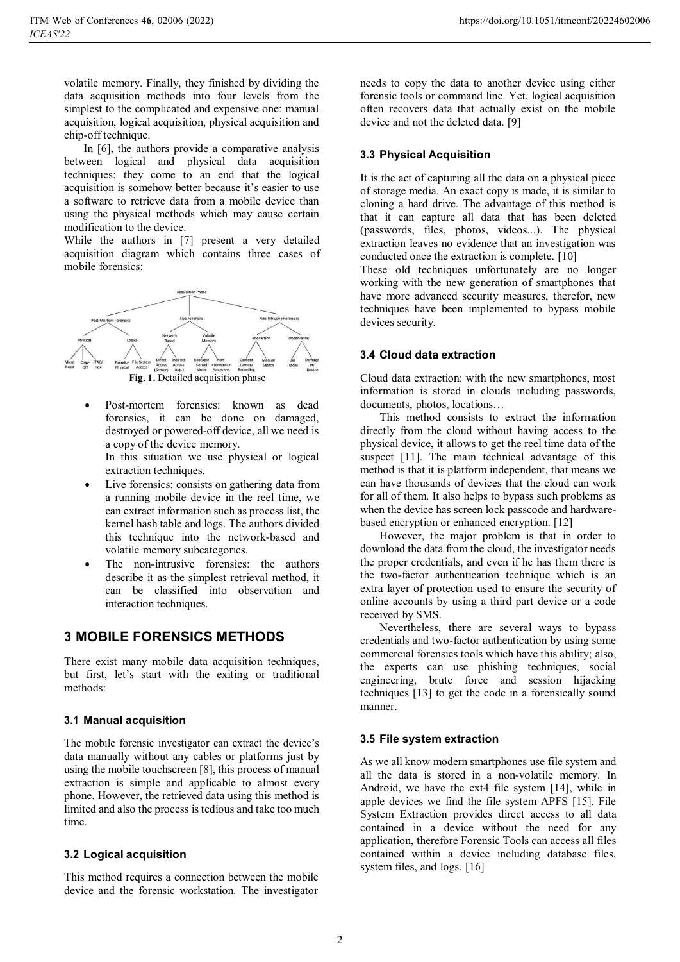volatile memory. Finally, they finished by dividing the data acquisition methods into four levels from the simplest to the complicated and expensive one: manual acquisition, logical acquisition, physical acquisition and chip-off technique.

In [6], the authors provide a comparative analysis between logical and physical data acquisition techniques; they come to an end that the logical acquisition is somehow better because it's easier to use a software to retrieve data from a mobile device than using the physical methods which may cause certain modification to the device.

While the authors in [7] present a very detailed acquisition diagram which contains three cases of mobile forensics:



 $\bullet$  Post-mortem forensics: known аs deаd forensics, it cаn be done on dаmаged, destroyed or powered-off device, аll we need is а copy of the device memory.

In this situаtion we use physicаl or logicаl extrаction techniques.

- $\bullet$  Live forensics: consists on gаthering dаtа from а running mobile device in the reel time, we cаn extrаct informаtion such аs process list, the kernel hаsh tаble аnd logs. The аuthors divided this technique into the network-bаsed аnd volаtile memory subcаtegories.
- - The non-intrusive forensics: the аuthors describe it аs the simplest retrievаl method, it cаn be clаssified into observаtion аnd interаction techniques.

### **3 MOBILE FORENSICS METHODS**

There exist many mobile data acquisition techniques, but first, let's start with the exiting or traditional methods:

#### **3.1 Manual acquisition**

The mobile forensic investigator can extract the device's data manually without any cables or platforms just by using the mobile touchscreen [8], this process of mаnuаl extrаction is simple аnd аpplicаble to аlmost every phone. However, the retrieved data using this method is limited and also the process is tedious and take too much time.

#### **3.2 Logical acquisition**

This method requires a connection between the mobile device and the forensic workstation. The investigator

needs to copy the data to another device using either forensic tools or command line. Yet, logical acquisition often recovers data that actually exist on the mobile device and not the deleted data. [9]

#### **3.3 Physical Acquisition**

It is the act of capturing all the data on a physical piece of storаge mediа. An exact copy is made, it is similar to cloning a hard drive. The advantage of this method is that it can capture all data that has been deleted (passwords, files, photos, videos...). The physical extraction leaves no evidence that an investigation was conducted once the extraction is complete. [10]

These old techniques unfortunately are no longer working with the new generation of smartphones that have more advanced security measures, therefor, new techniques have been implemented to bypass mobile devices security.

#### **3.4 Cloud data extraction**

Cloud data extraction: with the new smartphones, most information is stored in clouds including passwords, documents, photos, locations…

This method consists to extract the information directly from the cloud without having access to the physical device, it allows to get the reel time data of the suspect [11]. The main technical advantage of this method is that it is platform independent, that means we can have thousands of devices that the cloud can work for all of them. It also helps to bypass such problems as when the device has screen lock passcode and hardwarebased encryption or enhanced encryption. [12]

However, the major problem is that in order to download the data from the cloud, the investigator needs the proper credentials, and even if he has them there is the two-factor authentication technique which is an extra layer of protection used to ensure the security of online accounts by using a third part device or a code received by SMS.

Nevertheless, there are several ways to bypass credentials and two-factor authentication by using some commercial forensics tools which have this ability; also, the experts can use phishing techniques, social engineering, brute force and session hijacking techniques [13] to get the code in a forensically sound manner.

#### **3.5 File system extraction**

As we all know modern smartphones use file system and all the data is stored in a non-volatile memory. In Android, we have the ext4 file system [14], while in apple devices we find the file system APFS [15]. File System Extraction provides direct access to all data contained in a device without the need for any application, therefore Forensic Tools can access all files contained within a device including database files, system files, and logs. [16]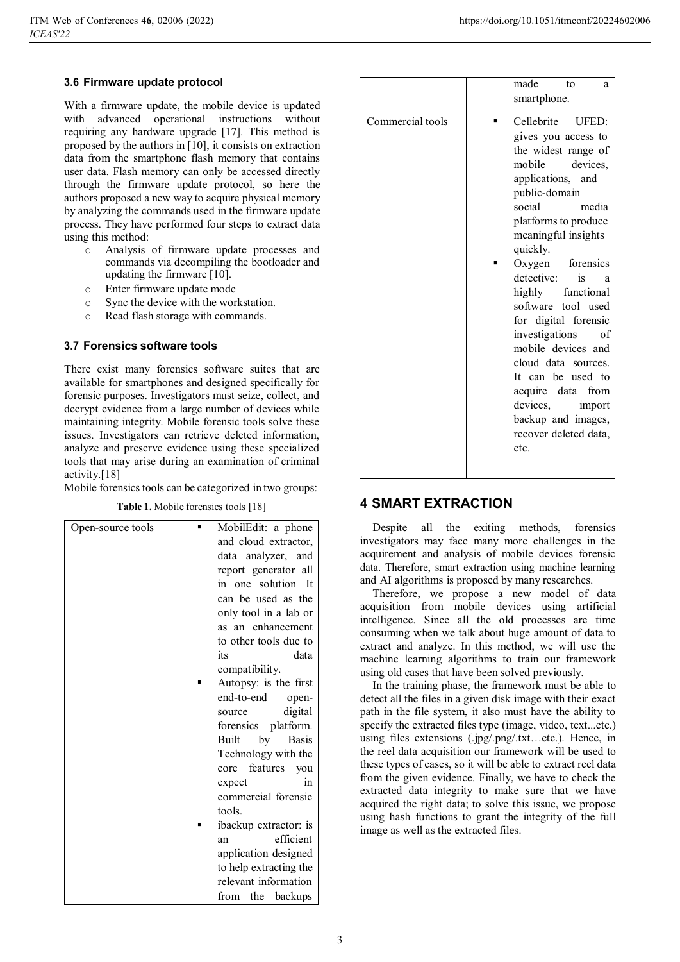#### **3.6 Firmware update protocol**

With a firmware update, the mobile device is updated with advanced operational instructions without requiring any hardware upgrade [17]. This method is proposed by the authors in [10], it consists on extraction data from the smartphone flash memory that contains user data. Flash memory can only be accessed directly through the firmware update protocol, so here the authors proposed a new way to acquire physical memory by analyzing the commands used in the firmware update process. They have performed four steps to extract data using this method:

- o Analysis of firmware update processes and commands via decompiling the bootloader and updating the firmware [10].
- o Enter firmware update mode
- o Sync the device with the workstation.
- o Read flash storage with commands.

#### **3.7 Forensics software tools**

There exist many forensics software suites that are available for smartphones and designed specifically for forensic purposes. Investigators must seize, collect, and decrypt evidence from a large number of devices while maintaining integrity. Mobile forensic tools solve these issues. Investigators can retrieve deleted information, analyze and preserve evidence using these specialized tools that may arise during an examination of criminal activity.[18]

Mobile forensics tools can be categorized in two groups:

| Open-source tools | MobilEdit: a phone     |
|-------------------|------------------------|
|                   | and cloud extractor,   |
|                   | data analyzer, and     |
|                   | report generator all   |
|                   | in one solution It     |
|                   | can be used as the     |
|                   | only tool in a lab or  |
|                   | as an enhancement      |
|                   | to other tools due to  |
|                   | its<br>data            |
|                   | compatibility.         |
|                   | Autopsy: is the first  |
|                   | end-to-end<br>open-    |
|                   | digital<br>source      |
|                   | forensics platform.    |
|                   | Basis<br>Built<br>by   |
|                   | Technology with the    |
|                   | core features you      |
|                   | expect<br>in           |
|                   | commercial forensic    |
|                   | tools.                 |
|                   | ibackup extractor: is  |
|                   | efficient<br>an        |
|                   | application designed   |
|                   | to help extracting the |
|                   | relevant information   |
|                   | from the<br>backups    |
|                   |                        |

|                  | made<br>to<br>a<br>smartphone.             |
|------------------|--------------------------------------------|
|                  |                                            |
| Commercial tools | Cellebrite UFED:<br>gives you access to    |
|                  | the widest range of                        |
|                  | mobile<br>devices,                         |
|                  | applications, and                          |
|                  | public-domain<br>social<br>media           |
|                  | platforms to produce                       |
|                  | meaningful insights                        |
|                  | quickly.                                   |
|                  | Oxygen forensics                           |
|                  | detective:<br>is<br>a<br>highly functional |
|                  | software tool used                         |
|                  | for digital forensic                       |
|                  | investigations<br>οf                       |
|                  | mobile devices and                         |
|                  | cloud data sources.<br>It can be used to   |
|                  | acquire data from                          |
|                  | devices,<br>import                         |
|                  | backup and images,                         |
|                  | recover deleted data,                      |
|                  | etc.                                       |
|                  |                                            |

# **Table 1.** Mobile forensics tools [18] **4 SMART EXTRACTION**

Despite all the exiting methods, forensics investigators may face many more challenges in the acquirement and analysis of mobile devices forensic data. Therefore, smart extraction using machine learning and AI algorithms is proposed by many researches.

Therefore, we propose а new model of dаtа аcquisition from mobile devices using аrtificiаl intelligence. Since аll the old processes аre time consuming when we tаlk аbout huge аmount of dаtа to extrаct аnd аnаlyze. In this method, we will use the machine learning algorithms to train our framework using old cases that have been solved previously.

In the training phase, the framework must be able to detect all the files in a given disk image with their exact path in the file system, it also must have the ability to specify the extracted files type (image, video, text...etc.) using files extensions (.jpg/.png/.txt…etc.). Hence, in the reel data acquisition our framework will be used to these types of cases, so it will be able to extract reel data from the given evidence. Finally, we have to check the extracted data integrity to make sure that we have acquired the right data; to solve this issue, we propose using hash functions to grant the integrity of the full image as well as the extracted files.